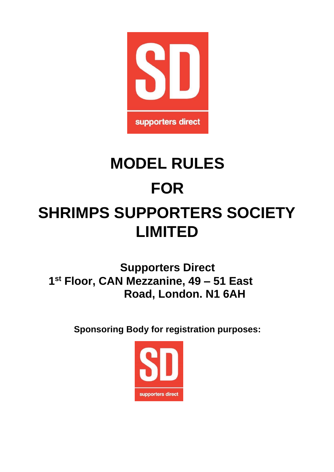

# **MODEL RULES FOR SHRIMPS SUPPORTERS SOCIETY LIMITED**

**Supporters Direct 1 st Floor, CAN Mezzanine, 49 – 51 East Road, London. N1 6AH** 

**Sponsoring Body for registration purposes:** 

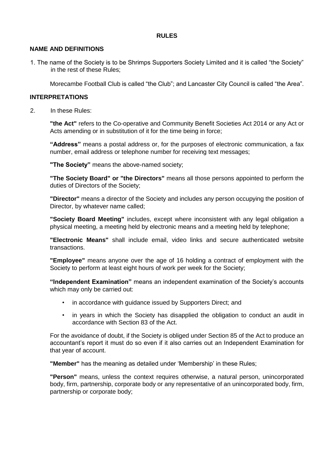## **RULES**

#### **NAME AND DEFINITIONS**

1. The name of the Society is to be Shrimps Supporters Society Limited and it is called "the Society" in the rest of these Rules;

Morecambe Football Club is called "the Club"; and Lancaster City Council is called "the Area".

## **INTERPRETATIONS**

2. In these Rules:

**"the Act"** refers to the Co-operative and Community Benefit Societies Act 2014 or any Act or Acts amending or in substitution of it for the time being in force;

**"Address"** means a postal address or, for the purposes of electronic communication, a fax number, email address or telephone number for receiving text messages;

**"The Society"** means the above-named society;

**"The Society Board" or "the Directors"** means all those persons appointed to perform the duties of Directors of the Society;

**"Director"** means a director of the Society and includes any person occupying the position of Director, by whatever name called;

**"Society Board Meeting"** includes, except where inconsistent with any legal obligation a physical meeting, a meeting held by electronic means and a meeting held by telephone;

**"Electronic Means"** shall include email, video links and secure authenticated website transactions.

**"Employee"** means anyone over the age of 16 holding a contract of employment with the Society to perform at least eight hours of work per week for the Society;

**"Independent Examination"** means an independent examination of the Society's accounts which may only be carried out:

- in accordance with guidance issued by Supporters Direct; and
- in years in which the Society has disapplied the obligation to conduct an audit in accordance with Section 83 of the Act.

For the avoidance of doubt, if the Society is obliged under Section 85 of the Act to produce an accountant's report it must do so even if it also carries out an Independent Examination for that year of account.

**"Member"** has the meaning as detailed under 'Membership' in these Rules;

**"Person"** means, unless the context requires otherwise, a natural person, unincorporated body, firm, partnership, corporate body or any representative of an unincorporated body, firm, partnership or corporate body;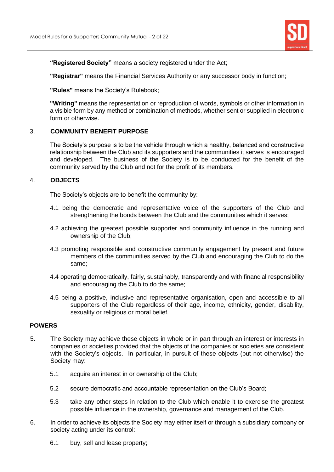

**"Registered Society"** means a society registered under the Act;

**"Registrar"** means the Financial Services Authority or any successor body in function;

**"Rules"** means the Society's Rulebook;

**"Writing"** means the representation or reproduction of words, symbols or other information in a visible form by any method or combination of methods, whether sent or supplied in electronic form or otherwise.

# 3. **COMMUNITY BENEFIT PURPOSE**

The Society's purpose is to be the vehicle through which a healthy, balanced and constructive relationship between the Club and its supporters and the communities it serves is encouraged and developed. The business of the Society is to be conducted for the benefit of the community served by the Club and not for the profit of its members.

## 4. **OBJECTS**

The Society's objects are to benefit the community by:

- 4.1 being the democratic and representative voice of the supporters of the Club and strengthening the bonds between the Club and the communities which it serves;
- 4.2 achieving the greatest possible supporter and community influence in the running and ownership of the Club;
- 4.3 promoting responsible and constructive community engagement by present and future members of the communities served by the Club and encouraging the Club to do the same;
- 4.4 operating democratically, fairly, sustainably, transparently and with financial responsibility and encouraging the Club to do the same;
- 4.5 being a positive, inclusive and representative organisation, open and accessible to all supporters of the Club regardless of their age, income, ethnicity, gender, disability, sexuality or religious or moral belief.

## **POWERS**

- 5. The Society may achieve these objects in whole or in part through an interest or interests in companies or societies provided that the objects of the companies or societies are consistent with the Society's objects. In particular, in pursuit of these objects (but not otherwise) the Society may:
	- 5.1 acquire an interest in or ownership of the Club;
	- 5.2 secure democratic and accountable representation on the Club's Board;
	- 5.3 take any other steps in relation to the Club which enable it to exercise the greatest possible influence in the ownership, governance and management of the Club.
- 6. In order to achieve its objects the Society may either itself or through a subsidiary company or society acting under its control:
	- 6.1 buy, sell and lease property;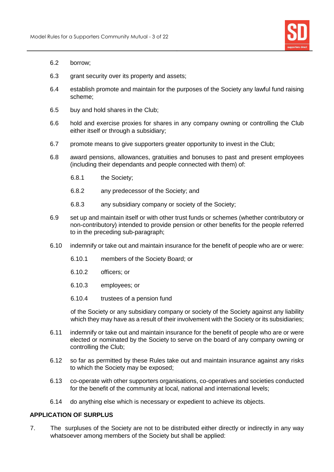

- 6.2 borrow;
- 6.3 grant security over its property and assets;
- 6.4 establish promote and maintain for the purposes of the Society any lawful fund raising scheme;
- 6.5 buy and hold shares in the Club;
- 6.6 hold and exercise proxies for shares in any company owning or controlling the Club either itself or through a subsidiary;
- 6.7 promote means to give supporters greater opportunity to invest in the Club;
- 6.8 award pensions, allowances, gratuities and bonuses to past and present employees (including their dependants and people connected with them) of:
	- 6.8.1 the Society;
	- 6.8.2 any predecessor of the Society; and
	- 6.8.3 any subsidiary company or society of the Society;
- 6.9 set up and maintain itself or with other trust funds or schemes (whether contributory or non-contributory) intended to provide pension or other benefits for the people referred to in the preceding sub-paragraph;
- 6.10 indemnify or take out and maintain insurance for the benefit of people who are or were:
	- 6.10.1 members of the Society Board; or
	- 6.10.2 officers; or
	- 6.10.3 employees; or
	- 6.10.4 trustees of a pension fund

of the Society or any subsidiary company or society of the Society against any liability which they may have as a result of their involvement with the Society or its subsidiaries;

- 6.11 indemnify or take out and maintain insurance for the benefit of people who are or were elected or nominated by the Society to serve on the board of any company owning or controlling the Club;
- 6.12 so far as permitted by these Rules take out and maintain insurance against any risks to which the Society may be exposed;
- 6.13 co-operate with other supporters organisations, co-operatives and societies conducted for the benefit of the community at local, national and international levels;
- 6.14 do anything else which is necessary or expedient to achieve its objects.

## **APPLICATION OF SURPLUS**

7. The surpluses of the Society are not to be distributed either directly or indirectly in any way whatsoever among members of the Society but shall be applied: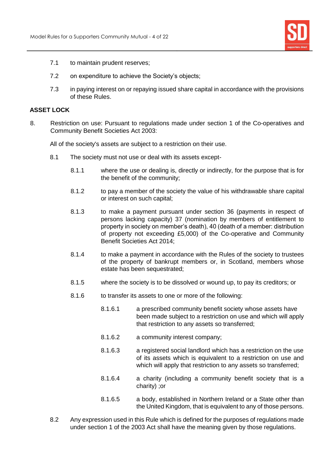

- 7.1 to maintain prudent reserves;
- 7.2 on expenditure to achieve the Society's objects;
- 7.3 in paying interest on or repaying issued share capital in accordance with the provisions of these Rules.

## **ASSET LOCK**

8. Restriction on use: Pursuant to regulations made under section 1 of the Co-operatives and Community Benefit Societies Act 2003:

All of the society's assets are subject to a restriction on their use.

- 8.1 The society must not use or deal with its assets except-
	- 8.1.1 where the use or dealing is, directly or indirectly, for the purpose that is for the benefit of the community;
	- 8.1.2 to pay a member of the society the value of his withdrawable share capital or interest on such capital;
	- 8.1.3 to make a payment pursuant under section 36 (payments in respect of persons lacking capacity) 37 (nomination by members of entitlement to property in society on member's death), 40 (death of a member: distribution of property not exceeding £5,000) of the Co-operative and Community Benefit Societies Act 2014;
	- 8.1.4 to make a payment in accordance with the Rules of the society to trustees of the property of bankrupt members or, in Scotland, members whose estate has been sequestrated;
	- 8.1.5 where the society is to be dissolved or wound up, to pay its creditors; or
	- 8.1.6 to transfer its assets to one or more of the following:
		- 8.1.6.1 a prescribed community benefit society whose assets have been made subject to a restriction on use and which will apply that restriction to any assets so transferred;
		- 8.1.6.2 a community interest company;
		- 8.1.6.3 a registered social landlord which has a restriction on the use of its assets which is equivalent to a restriction on use and which will apply that restriction to any assets so transferred:
		- 8.1.6.4 a charity (including a community benefit society that is a charity) ;or
		- 8.1.6.5 a body, established in Northern Ireland or a State other than the United Kingdom, that is equivalent to any of those persons.
- 8.2 Any expression used in this Rule which is defined for the purposes of regulations made under section 1 of the 2003 Act shall have the meaning given by those regulations.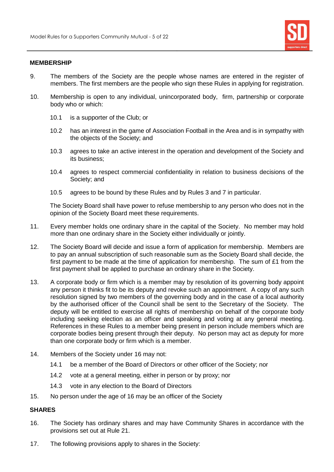

#### **MEMBERSHIP**

- 9. The members of the Society are the people whose names are entered in the register of members. The first members are the people who sign these Rules in applying for registration.
- 10. Membership is open to any individual, unincorporated body, firm, partnership or corporate body who or which:
	- 10.1 is a supporter of the Club; or
	- 10.2 has an interest in the game of Association Football in the Area and is in sympathy with the objects of the Society; and
	- 10.3 agrees to take an active interest in the operation and development of the Society and its business;
	- 10.4 agrees to respect commercial confidentiality in relation to business decisions of the Society; and
	- 10.5 agrees to be bound by these Rules and by Rules 3 and 7 in particular.

The Society Board shall have power to refuse membership to any person who does not in the opinion of the Society Board meet these requirements.

- 11. Every member holds one ordinary share in the capital of the Society. No member may hold more than one ordinary share in the Society either individually or jointly.
- 12. The Society Board will decide and issue a form of application for membership. Members are to pay an annual subscription of such reasonable sum as the Society Board shall decide, the first payment to be made at the time of application for membership. The sum of £1 from the first payment shall be applied to purchase an ordinary share in the Society.
- 13. A corporate body or firm which is a member may by resolution of its governing body appoint any person it thinks fit to be its deputy and revoke such an appointment. A copy of any such resolution signed by two members of the governing body and in the case of a local authority by the authorised officer of the Council shall be sent to the Secretary of the Society. The deputy will be entitled to exercise all rights of membership on behalf of the corporate body including seeking election as an officer and speaking and voting at any general meeting. References in these Rules to a member being present in person include members which are corporate bodies being present through their deputy. No person may act as deputy for more than one corporate body or firm which is a member.
- 14. Members of the Society under 16 may not:
	- 14.1 be a member of the Board of Directors or other officer of the Society; nor
	- 14.2 vote at a general meeting, either in person or by proxy; nor
	- 14.3 vote in any election to the Board of Directors
- 15. No person under the age of 16 may be an officer of the Society

# **SHARES**

- 16. The Society has ordinary shares and may have Community Shares in accordance with the provisions set out at Rule 21.
- 17. The following provisions apply to shares in the Society: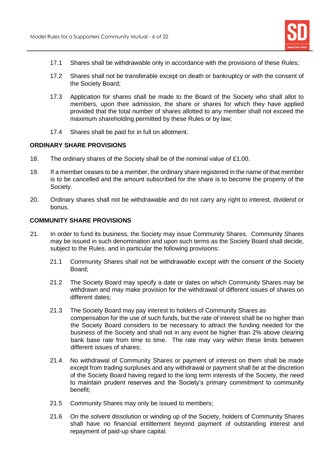

- 17.1 Shares shall be withdrawable only in accordance with the provisions of these Rules;
- 17.2 Shares shall not be transferable except on death or bankruptcy or with the consent of the Society Board;
- 17.3 Application for shares shall be made to the Board of the Society who shall allot to members, upon their admission, the share or shares for which they have applied provided that the total number of shares allotted to any member shall not exceed the maximum shareholding permitted by these Rules or by law;
- 17.4 Shares shall be paid for in full on allotment.

## **ORDINARY SHARE PROVISIONS**

- 18. The ordinary shares of the Society shall be of the nominal value of £1.00.
- 19. If a member ceases to be a member, the ordinary share registered in the name of that member is to be cancelled and the amount subscribed for the share is to become the property of the Society.
- 20. Ordinary shares shall not be withdrawable and do not carry any right to interest, dividend or bonus.

# **COMMUNITY SHARE PROVISIONS**

- 21. In order to fund its business, the Society may issue Community Shares. Community Shares may be issued in such denomination and upon such terms as the Society Board shall decide, subject to the Rules, and in particular the following provisions:
	- 21.1 Community Shares shall not be withdrawable except with the consent of the Society Board;
	- 21.2 The Society Board may specify a date or dates on which Community Shares may be withdrawn and may make provision for the withdrawal of different issues of shares on different dates;
	- 21.3 The Society Board may pay interest to holders of Community Shares as compensation for the use of such funds, but the rate of interest shall be no higher than the Society Board considers to be necessary to attract the funding needed for the business of the Society and shall not in any event be higher than 2% above clearing bank base rate from time to time. The rate may vary within these limits between different issues of shares;
	- 21.4 No withdrawal of Community Shares or payment of interest on them shall be made except from trading surpluses and any withdrawal or payment shall be at the discretion of the Society Board having regard to the long term interests of the Society, the need to maintain prudent reserves and the Society's primary commitment to community benefit;
	- 21.5 Community Shares may only be issued to members;
	- 21.6 On the solvent dissolution or winding up of the Society, holders of Community Shares shall have no financial entitlement beyond payment of outstanding interest and repayment of paid-up share capital.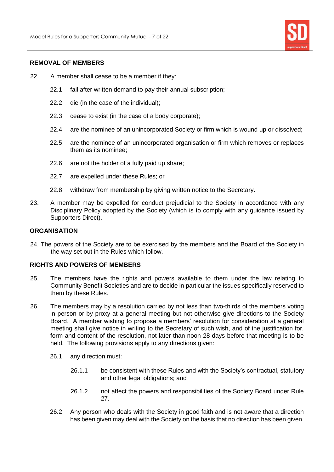

#### **REMOVAL OF MEMBERS**

- 22. A member shall cease to be a member if they:
	- 22.1 fail after written demand to pay their annual subscription;
	- 22.2 die (in the case of the individual);
	- 22.3 cease to exist (in the case of a body corporate);
	- 22.4 are the nominee of an unincorporated Society or firm which is wound up or dissolved;
	- 22.5 are the nominee of an unincorporated organisation or firm which removes or replaces them as its nominee;
	- 22.6 are not the holder of a fully paid up share;
	- 22.7 are expelled under these Rules; or
	- 22.8 withdraw from membership by giving written notice to the Secretary.
- 23. A member may be expelled for conduct prejudicial to the Society in accordance with any Disciplinary Policy adopted by the Society (which is to comply with any guidance issued by Supporters Direct).

# **ORGANISATION**

24. The powers of the Society are to be exercised by the members and the Board of the Society in the way set out in the Rules which follow.

#### **RIGHTS AND POWERS OF MEMBERS**

- 25. The members have the rights and powers available to them under the law relating to Community Benefit Societies and are to decide in particular the issues specifically reserved to them by these Rules.
- 26. The members may by a resolution carried by not less than two-thirds of the members voting in person or by proxy at a general meeting but not otherwise give directions to the Society Board. A member wishing to propose a members' resolution for consideration at a general meeting shall give notice in writing to the Secretary of such wish, and of the justification for, form and content of the resolution, not later than noon 28 days before that meeting is to be held. The following provisions apply to any directions given:
	- 26.1 any direction must:
		- 26.1.1 be consistent with these Rules and with the Society's contractual, statutory and other legal obligations; and
		- 26.1.2 not affect the powers and responsibilities of the Society Board under Rule 27.
	- 26.2 Any person who deals with the Society in good faith and is not aware that a direction has been given may deal with the Society on the basis that no direction has been given.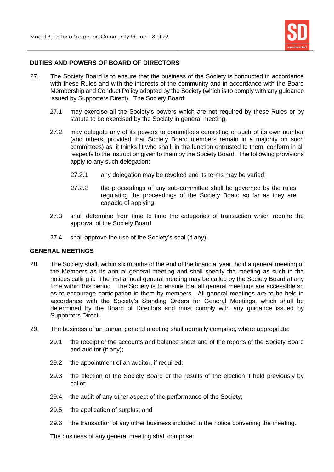

## **DUTIES AND POWERS OF BOARD OF DIRECTORS**

- 27. The Society Board is to ensure that the business of the Society is conducted in accordance with these Rules and with the interests of the community and in accordance with the Board Membership and Conduct Policy adopted by the Society (which is to comply with any guidance issued by Supporters Direct). The Society Board:
	- 27.1 may exercise all the Society's powers which are not required by these Rules or by statute to be exercised by the Society in general meeting;
	- 27.2 may delegate any of its powers to committees consisting of such of its own number (and others, provided that Society Board members remain in a majority on such committees) as it thinks fit who shall, in the function entrusted to them, conform in all respects to the instruction given to them by the Society Board. The following provisions apply to any such delegation:
		- 27.2.1 any delegation may be revoked and its terms may be varied;
		- 27.2.2 the proceedings of any sub-committee shall be governed by the rules regulating the proceedings of the Society Board so far as they are capable of applying;
	- 27.3 shall determine from time to time the categories of transaction which require the approval of the Society Board
	- 27.4 shall approve the use of the Society's seal (if any).

#### **GENERAL MEETINGS**

- 28. The Society shall, within six months of the end of the financial year, hold a general meeting of the Members as its annual general meeting and shall specify the meeting as such in the notices calling it. The first annual general meeting may be called by the Society Board at any time within this period. The Society is to ensure that all general meetings are accessible so as to encourage participation in them by members. All general meetings are to be held in accordance with the Society's Standing Orders for General Meetings, which shall be determined by the Board of Directors and must comply with any guidance issued by Supporters Direct.
- 29. The business of an annual general meeting shall normally comprise, where appropriate:
	- 29.1 the receipt of the accounts and balance sheet and of the reports of the Society Board and auditor (if any);
	- 29.2 the appointment of an auditor, if required;
	- 29.3 the election of the Society Board or the results of the election if held previously by ballot;
	- 29.4 the audit of any other aspect of the performance of the Society;
	- 29.5 the application of surplus; and
	- 29.6 the transaction of any other business included in the notice convening the meeting.

The business of any general meeting shall comprise: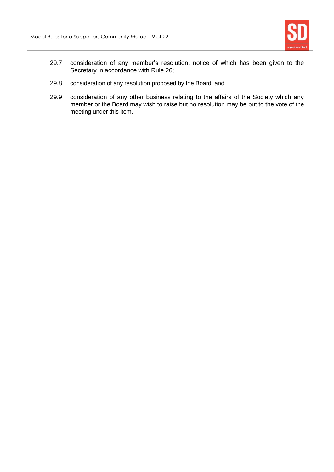

- 29.7 consideration of any member's resolution, notice of which has been given to the Secretary in accordance with Rule 26;
- 29.8 consideration of any resolution proposed by the Board; and
- 29.9 consideration of any other business relating to the affairs of the Society which any member or the Board may wish to raise but no resolution may be put to the vote of the meeting under this item.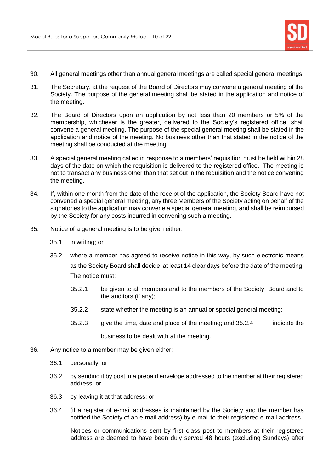

- 30. All general meetings other than annual general meetings are called special general meetings.
- 31. The Secretary, at the request of the Board of Directors may convene a general meeting of the Society. The purpose of the general meeting shall be stated in the application and notice of the meeting.
- 32. The Board of Directors upon an application by not less than 20 members or 5% of the membership, whichever is the greater, delivered to the Society's registered office, shall convene a general meeting. The purpose of the special general meeting shall be stated in the application and notice of the meeting. No business other than that stated in the notice of the meeting shall be conducted at the meeting.
- 33. A special general meeting called in response to a members' requisition must be held within 28 days of the date on which the requisition is delivered to the registered office. The meeting is not to transact any business other than that set out in the requisition and the notice convening the meeting.
- 34. If, within one month from the date of the receipt of the application, the Society Board have not convened a special general meeting, any three Members of the Society acting on behalf of the signatories to the application may convene a special general meeting, and shall be reimbursed by the Society for any costs incurred in convening such a meeting.
- 35. Notice of a general meeting is to be given either:
	- 35.1 in writing; or
	- 35.2 where a member has agreed to receive notice in this way, by such electronic means as the Society Board shall decide at least 14 clear days before the date of the meeting. The notice must:
		- 35.2.1 be given to all members and to the members of the Society Board and to the auditors (if any);
		- 35.2.2 state whether the meeting is an annual or special general meeting;
		- 35.2.3 give the time, date and place of the meeting; and 35.2.4 indicate the business to be dealt with at the meeting.
- 36. Any notice to a member may be given either:
	- 36.1 personally; or
	- 36.2 by sending it by post in a prepaid envelope addressed to the member at their registered address; or
	- 36.3 by leaving it at that address; or
	- 36.4 (if a register of e-mail addresses is maintained by the Society and the member has notified the Society of an e-mail address) by e-mail to their registered e-mail address.

Notices or communications sent by first class post to members at their registered address are deemed to have been duly served 48 hours (excluding Sundays) after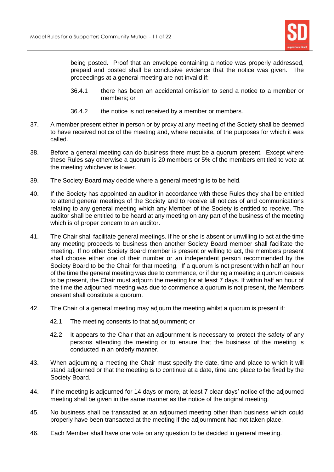

being posted. Proof that an envelope containing a notice was properly addressed, prepaid and posted shall be conclusive evidence that the notice was given. The proceedings at a general meeting are not invalid if:

- 36.4.1 there has been an accidental omission to send a notice to a member or members; or
- 36.4.2 the notice is not received by a member or members.
- 37. A member present either in person or by proxy at any meeting of the Society shall be deemed to have received notice of the meeting and, where requisite, of the purposes for which it was called.
- 38. Before a general meeting can do business there must be a quorum present. Except where these Rules say otherwise a quorum is 20 members or 5% of the members entitled to vote at the meeting whichever is lower.
- 39. The Society Board may decide where a general meeting is to be held.
- 40. If the Society has appointed an auditor in accordance with these Rules they shall be entitled to attend general meetings of the Society and to receive all notices of and communications relating to any general meeting which any Member of the Society is entitled to receive. The auditor shall be entitled to be heard at any meeting on any part of the business of the meeting which is of proper concern to an auditor.
- 41. The Chair shall facilitate general meetings. If he or she is absent or unwilling to act at the time any meeting proceeds to business then another Society Board member shall facilitate the meeting. If no other Society Board member is present or willing to act, the members present shall choose either one of their number or an independent person recommended by the Society Board to be the Chair for that meeting. If a quorum is not present within half an hour of the time the general meeting was due to commence, or if during a meeting a quorum ceases to be present, the Chair must adjourn the meeting for at least 7 days. If within half an hour of the time the adjourned meeting was due to commence a quorum is not present, the Members present shall constitute a quorum.
- 42. The Chair of a general meeting may adjourn the meeting whilst a quorum is present if:
	- 42.1 The meeting consents to that adjournment; or
	- 42.2 It appears to the Chair that an adjournment is necessary to protect the safety of any persons attending the meeting or to ensure that the business of the meeting is conducted in an orderly manner.
- 43. When adjourning a meeting the Chair must specify the date, time and place to which it will stand adjourned or that the meeting is to continue at a date, time and place to be fixed by the Society Board.
- 44. If the meeting is adjourned for 14 days or more, at least 7 clear days' notice of the adjourned meeting shall be given in the same manner as the notice of the original meeting.
- 45. No business shall be transacted at an adjourned meeting other than business which could properly have been transacted at the meeting if the adjournment had not taken place.
- 46. Each Member shall have one vote on any question to be decided in general meeting.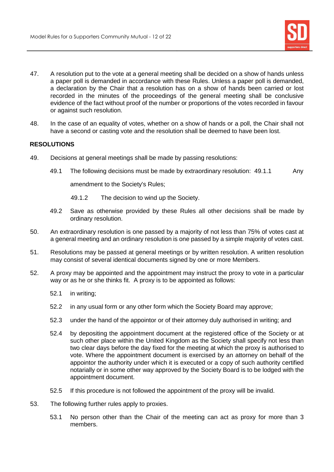

- 47. A resolution put to the vote at a general meeting shall be decided on a show of hands unless a paper poll is demanded in accordance with these Rules. Unless a paper poll is demanded, a declaration by the Chair that a resolution has on a show of hands been carried or lost recorded in the minutes of the proceedings of the general meeting shall be conclusive evidence of the fact without proof of the number or proportions of the votes recorded in favour or against such resolution.
- 48. In the case of an equality of votes, whether on a show of hands or a poll, the Chair shall not have a second or casting vote and the resolution shall be deemed to have been lost.

# **RESOLUTIONS**

- 49. Decisions at general meetings shall be made by passing resolutions:
	- 49.1 The following decisions must be made by extraordinary resolution: 49.1.1 Any

amendment to the Society's Rules;

- 49.1.2 The decision to wind up the Society.
- 49.2 Save as otherwise provided by these Rules all other decisions shall be made by ordinary resolution.
- 50. An extraordinary resolution is one passed by a majority of not less than 75% of votes cast at a general meeting and an ordinary resolution is one passed by a simple majority of votes cast.
- 51. Resolutions may be passed at general meetings or by written resolution. A written resolution may consist of several identical documents signed by one or more Members.
- 52. A proxy may be appointed and the appointment may instruct the proxy to vote in a particular way or as he or she thinks fit. A proxy is to be appointed as follows:
	- 52.1 in writing;
	- 52.2 in any usual form or any other form which the Society Board may approve;
	- 52.3 under the hand of the appointor or of their attorney duly authorised in writing; and
	- 52.4 by depositing the appointment document at the registered office of the Society or at such other place within the United Kingdom as the Society shall specify not less than two clear days before the day fixed for the meeting at which the proxy is authorised to vote. Where the appointment document is exercised by an attorney on behalf of the appointor the authority under which it is executed or a copy of such authority certified notarially or in some other way approved by the Society Board is to be lodged with the appointment document.
	- 52.5 If this procedure is not followed the appointment of the proxy will be invalid.
- 53. The following further rules apply to proxies.
	- 53.1 No person other than the Chair of the meeting can act as proxy for more than 3 members.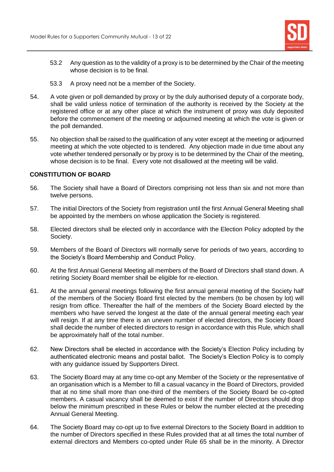

- 53.2 Any question as to the validity of a proxy is to be determined by the Chair of the meeting whose decision is to be final.
- 53.3 A proxy need not be a member of the Society.
- 54. A vote given or poll demanded by proxy or by the duly authorised deputy of a corporate body, shall be valid unless notice of termination of the authority is received by the Society at the registered office or at any other place at which the instrument of proxy was duly deposited before the commencement of the meeting or adjourned meeting at which the vote is given or the poll demanded.
- 55. No objection shall be raised to the qualification of any voter except at the meeting or adjourned meeting at which the vote objected to is tendered. Any objection made in due time about any vote whether tendered personally or by proxy is to be determined by the Chair of the meeting, whose decision is to be final. Every vote not disallowed at the meeting will be valid.

## **CONSTITUTION OF BOARD**

- 56. The Society shall have a Board of Directors comprising not less than six and not more than twelve persons.
- 57. The initial Directors of the Society from registration until the first Annual General Meeting shall be appointed by the members on whose application the Society is registered.
- 58. Elected directors shall be elected only in accordance with the Election Policy adopted by the Society.
- 59. Members of the Board of Directors will normally serve for periods of two years, according to the Society's Board Membership and Conduct Policy.
- 60. At the first Annual General Meeting all members of the Board of Directors shall stand down. A retiring Society Board member shall be eligible for re-election.
- 61. At the annual general meetings following the first annual general meeting of the Society half of the members of the Society Board first elected by the members (to be chosen by lot) will resign from office. Thereafter the half of the members of the Society Board elected by the members who have served the longest at the date of the annual general meeting each year will resign. If at any time there is an uneven number of elected directors, the Society Board shall decide the number of elected directors to resign in accordance with this Rule, which shall be approximately half of the total number.
- 62. New Directors shall be elected in accordance with the Society's Election Policy including by authenticated electronic means and postal ballot. The Society's Election Policy is to comply with any guidance issued by Supporters Direct.
- 63. The Society Board may at any time co-opt any Member of the Society or the representative of an organisation which is a Member to fill a casual vacancy in the Board of Directors, provided that at no time shall more than one-third of the members of the Society Board be co-opted members. A casual vacancy shall be deemed to exist if the number of Directors should drop below the minimum prescribed in these Rules or below the number elected at the preceding Annual General Meeting.
- 64. The Society Board may co-opt up to five external Directors to the Society Board in addition to the number of Directors specified in these Rules provided that at all times the total number of external directors and Members co-opted under Rule 65 shall be in the minority. A Director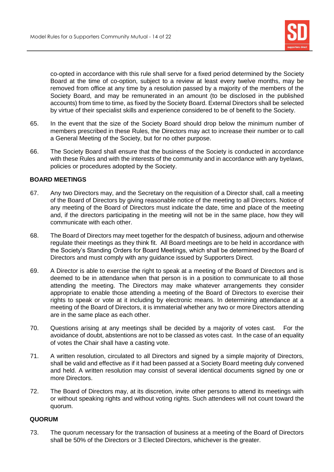

co-opted in accordance with this rule shall serve for a fixed period determined by the Society Board at the time of co-option, subject to a review at least every twelve months, may be removed from office at any time by a resolution passed by a majority of the members of the Society Board, and may be remunerated in an amount (to be disclosed in the published accounts) from time to time, as fixed by the Society Board. External Directors shall be selected by virtue of their specialist skills and experience considered to be of benefit to the Society.

- 65. In the event that the size of the Society Board should drop below the minimum number of members prescribed in these Rules, the Directors may act to increase their number or to call a General Meeting of the Society, but for no other purpose.
- 66. The Society Board shall ensure that the business of the Society is conducted in accordance with these Rules and with the interests of the community and in accordance with any byelaws, policies or procedures adopted by the Society.

# **BOARD MEETINGS**

- 67. Any two Directors may, and the Secretary on the requisition of a Director shall, call a meeting of the Board of Directors by giving reasonable notice of the meeting to all Directors. Notice of any meeting of the Board of Directors must indicate the date, time and place of the meeting and, if the directors participating in the meeting will not be in the same place, how they will communicate with each other.
- 68. The Board of Directors may meet together for the despatch of business, adjourn and otherwise regulate their meetings as they think fit. All Board meetings are to be held in accordance with the Society's Standing Orders for Board Meetings, which shall be determined by the Board of Directors and must comply with any guidance issued by Supporters Direct.
- 69. A Director is able to exercise the right to speak at a meeting of the Board of Directors and is deemed to be in attendance when that person is in a position to communicate to all those attending the meeting. The Directors may make whatever arrangements they consider appropriate to enable those attending a meeting of the Board of Directors to exercise their rights to speak or vote at it including by electronic means. In determining attendance at a meeting of the Board of Directors, it is immaterial whether any two or more Directors attending are in the same place as each other.
- 70. Questions arising at any meetings shall be decided by a majority of votes cast. For the avoidance of doubt, abstentions are not to be classed as votes cast. In the case of an equality of votes the Chair shall have a casting vote.
- 71. A written resolution, circulated to all Directors and signed by a simple majority of Directors, shall be valid and effective as if it had been passed at a Society Board meeting duly convened and held. A written resolution may consist of several identical documents signed by one or more Directors.
- 72. The Board of Directors may, at its discretion, invite other persons to attend its meetings with or without speaking rights and without voting rights. Such attendees will not count toward the quorum.

# **QUORUM**

73. The quorum necessary for the transaction of business at a meeting of the Board of Directors shall be 50% of the Directors or 3 Elected Directors, whichever is the greater.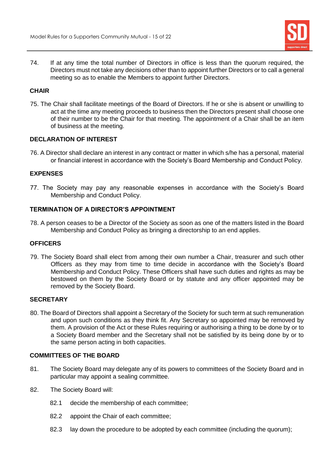

74. If at any time the total number of Directors in office is less than the quorum required, the Directors must not take any decisions other than to appoint further Directors or to call a general meeting so as to enable the Members to appoint further Directors.

# **CHAIR**

75. The Chair shall facilitate meetings of the Board of Directors. If he or she is absent or unwilling to act at the time any meeting proceeds to business then the Directors present shall choose one of their number to be the Chair for that meeting. The appointment of a Chair shall be an item of business at the meeting.

# **DECLARATION OF INTEREST**

76. A Director shall declare an interest in any contract or matter in which s/he has a personal, material or financial interest in accordance with the Society's Board Membership and Conduct Policy.

# **EXPENSES**

77. The Society may pay any reasonable expenses in accordance with the Society's Board Membership and Conduct Policy.

# **TERMINATION OF A DIRECTOR'S APPOINTMENT**

78. A person ceases to be a Director of the Society as soon as one of the matters listed in the Board Membership and Conduct Policy as bringing a directorship to an end applies.

#### **OFFICERS**

79. The Society Board shall elect from among their own number a Chair, treasurer and such other Officers as they may from time to time decide in accordance with the Society's Board Membership and Conduct Policy. These Officers shall have such duties and rights as may be bestowed on them by the Society Board or by statute and any officer appointed may be removed by the Society Board.

## **SECRETARY**

80. The Board of Directors shall appoint a Secretary of the Society for such term at such remuneration and upon such conditions as they think fit. Any Secretary so appointed may be removed by them. A provision of the Act or these Rules requiring or authorising a thing to be done by or to a Society Board member and the Secretary shall not be satisfied by its being done by or to the same person acting in both capacities.

## **COMMITTEES OF THE BOARD**

- 81. The Society Board may delegate any of its powers to committees of the Society Board and in particular may appoint a sealing committee.
- 82. The Society Board will:
	- 82.1 decide the membership of each committee;
	- 82.2 appoint the Chair of each committee:
	- 82.3 lay down the procedure to be adopted by each committee (including the quorum);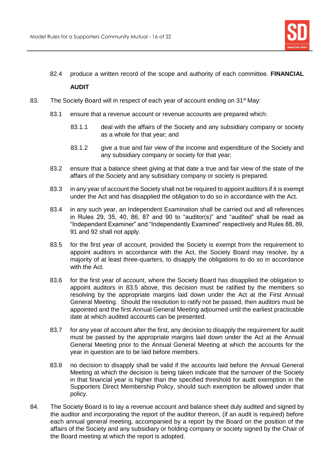

82.4 produce a written record of the scope and authority of each committee. **FINANCIAL** 

# **AUDIT**

- 83. The Society Board will in respect of each year of account ending on 31<sup>st</sup> May:
	- 83.1 ensure that a revenue account or revenue accounts are prepared which:
		- 83.1.1 deal with the affairs of the Society and any subsidiary company or society as a whole for that year; and
		- 83.1.2 give a true and fair view of the income and expenditure of the Society and any subsidiary company or society for that year;
	- 83.2 ensure that a balance sheet giving at that date a true and fair view of the state of the affairs of the Society and any subsidiary company or society is prepared.
	- 83.3 in any year of account the Society shall not be required to appoint auditors if it is exempt under the Act and has disapplied the obligation to do so in accordance with the Act.
	- 83.4 in any such year, an Independent Examination shall be carried out and all references in Rules 29, 35, 40, 86, 87 and 90 to "auditor(s)" and "audited" shall be read as "Independent Examiner" and "Independently Examined" respectively and Rules 88, 89, 91 and 92 shall not apply.
	- 83.5 for the first year of account, provided the Society is exempt from the requirement to appoint auditors in accordance with the Act, the Society Board may resolve, by a majority of at least three-quarters, to disapply the obligations to do so in accordance with the Act.
	- 83.6 for the first year of account, where the Society Board has disapplied the obligation to appoint auditors in 83.5 above, this decision must be ratified by the members so resolving by the appropriate margins laid down under the Act at the First Annual General Meeting. Should the resolution to ratify not be passed, then auditors must be appointed and the first Annual General Meeting adjourned until the earliest practicable date at which audited accounts can be presented.
	- 83.7 for any year of account after the first, any decision to disapply the requirement for audit must be passed by the appropriate margins laid down under the Act at the Annual General Meeting prior to the Annual General Meeting at which the accounts for the year in question are to be laid before members.
	- 83.8 no decision to disapply shall be valid if the accounts laid before the Annual General Meeting at which the decision is being taken indicate that the turnover of the Society in that financial year is higher than the specified threshold for audit exemption in the Supporters Direct Membership Policy, should such exemption be allowed under that policy.
- 84. The Society Board is to lay a revenue account and balance sheet duly audited and signed by the auditor and incorporating the report of the auditor thereon, (if an audit is required) before each annual general meeting, accompanied by a report by the Board on the position of the affairs of the Society and any subsidiary or holding company or society signed by the Chair of the Board meeting at which the report is adopted.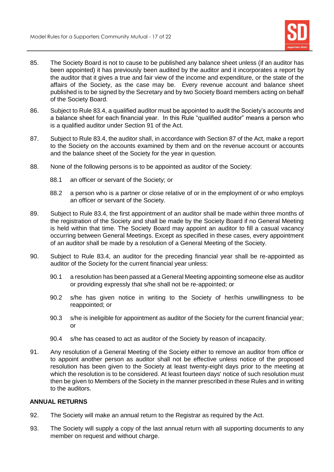

- 85. The Society Board is not to cause to be published any balance sheet unless (if an auditor has been appointed) it has previously been audited by the auditor and it incorporates a report by the auditor that it gives a true and fair view of the income and expenditure, or the state of the affairs of the Society, as the case may be. Every revenue account and balance sheet published is to be signed by the Secretary and by two Society Board members acting on behalf of the Society Board.
- 86. Subject to Rule 83.4, a qualified auditor must be appointed to audit the Society's accounts and a balance sheet for each financial year. In this Rule "qualified auditor" means a person who is a qualified auditor under Section 91 of the Act.
- 87. Subject to Rule 83.4, the auditor shall, in accordance with Section 87 of the Act, make a report to the Society on the accounts examined by them and on the revenue account or accounts and the balance sheet of the Society for the year in question.
- 88. None of the following persons is to be appointed as auditor of the Society:
	- 88.1 an officer or servant of the Society; or
	- 88.2 a person who is a partner or close relative of or in the employment of or who employs an officer or servant of the Society.
- 89. Subject to Rule 83.4, the first appointment of an auditor shall be made within three months of the registration of the Society and shall be made by the Society Board if no General Meeting is held within that time. The Society Board may appoint an auditor to fill a casual vacancy occurring between General Meetings. Except as specified in these cases, every appointment of an auditor shall be made by a resolution of a General Meeting of the Society.
- 90. Subject to Rule 83.4, an auditor for the preceding financial year shall be re-appointed as auditor of the Society for the current financial year unless:
	- 90.1 a resolution has been passed at a General Meeting appointing someone else as auditor or providing expressly that s/he shall not be re-appointed; or
	- 90.2 s/he has given notice in writing to the Society of her/his unwillingness to be reappointed; or
	- 90.3 s/he is ineligible for appointment as auditor of the Society for the current financial year; or
	- 90.4 s/he has ceased to act as auditor of the Society by reason of incapacity.
- 91. Any resolution of a General Meeting of the Society either to remove an auditor from office or to appoint another person as auditor shall not be effective unless notice of the proposed resolution has been given to the Society at least twenty-eight days prior to the meeting at which the resolution is to be considered. At least fourteen days' notice of such resolution must then be given to Members of the Society in the manner prescribed in these Rules and in writing to the auditors.

## **ANNUAL RETURNS**

- 92. The Society will make an annual return to the Registrar as required by the Act.
- 93. The Society will supply a copy of the last annual return with all supporting documents to any member on request and without charge.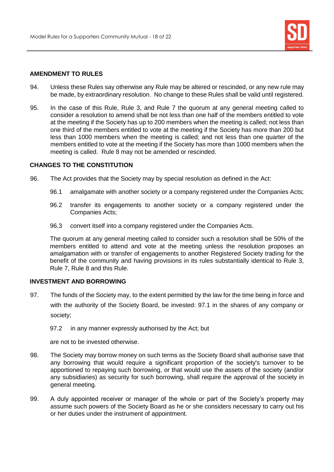

# **AMENDMENT TO RULES**

- 94. Unless these Rules say otherwise any Rule may be altered or rescinded, or any new rule may be made, by extraordinary resolution. No change to these Rules shall be valid until registered.
- 95. In the case of this Rule, Rule 3, and Rule 7 the quorum at any general meeting called to consider a resolution to amend shall be not less than one half of the members entitled to vote at the meeting if the Society has up to 200 members when the meeting is called; not less than one third of the members entitled to vote at the meeting if the Society has more than 200 but less than 1000 members when the meeting is called; and not less than one quarter of the members entitled to vote at the meeting if the Society has more than 1000 members when the meeting is called. Rule 8 may not be amended or rescinded.

# **CHANGES TO THE CONSTITUTION**

- 96. The Act provides that the Society may by special resolution as defined in the Act:
	- 96.1 amalgamate with another society or a company registered under the Companies Acts;
	- 96.2 transfer its engagements to another society or a company registered under the Companies Acts;
	- 96.3 convert itself into a company registered under the Companies Acts.

The quorum at any general meeting called to consider such a resolution shall be 50% of the members entitled to attend and vote at the meeting unless the resolution proposes an amalgamation with or transfer of engagements to another Registered Society trading for the benefit of the community and having provisions in its rules substantially identical to Rule 3, Rule 7, Rule 8 and this Rule.

# **INVESTMENT AND BORROWING**

- 97. The funds of the Society may, to the extent permitted by the law for the time being in force and with the authority of the Society Board, be invested: 97.1 in the shares of any company or society;
	- 97.2 in any manner expressly authorised by the Act; but

are not to be invested otherwise.

- 98. The Society may borrow money on such terms as the Society Board shall authorise save that any borrowing that would require a significant proportion of the society's turnover to be apportioned to repaying such borrowing, or that would use the assets of the society (and/or any subsidiaries) as security for such borrowing, shall require the approval of the society in general meeting.
- 99. A duly appointed receiver or manager of the whole or part of the Society's property may assume such powers of the Society Board as he or she considers necessary to carry out his or her duties under the instrument of appointment.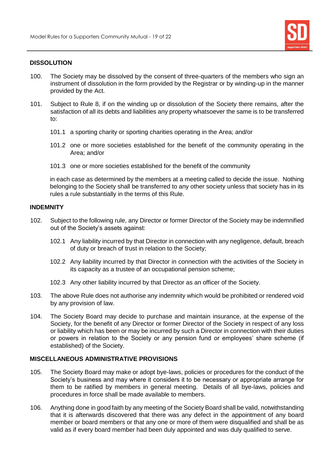

## **DISSOLUTION**

- 100. The Society may be dissolved by the consent of three-quarters of the members who sign an instrument of dissolution in the form provided by the Registrar or by winding-up in the manner provided by the Act.
- 101. Subject to Rule 8, if on the winding up or dissolution of the Society there remains, after the satisfaction of all its debts and liabilities any property whatsoever the same is to be transferred to:
	- 101.1 a sporting charity or sporting charities operating in the Area; and/or
	- 101.2 one or more societies established for the benefit of the community operating in the Area; and/or
	- 101.3 one or more societies established for the benefit of the community

in each case as determined by the members at a meeting called to decide the issue. Nothing belonging to the Society shall be transferred to any other society unless that society has in its rules a rule substantially in the terms of this Rule.

#### **INDEMNITY**

- 102. Subject to the following rule, any Director or former Director of the Society may be indemnified out of the Society's assets against:
	- 102.1 Any liability incurred by that Director in connection with any negligence, default, breach of duty or breach of trust in relation to the Society;
	- 102.2 Any liability incurred by that Director in connection with the activities of the Society in its capacity as a trustee of an occupational pension scheme;
	- 102.3 Any other liability incurred by that Director as an officer of the Society.
- 103. The above Rule does not authorise any indemnity which would be prohibited or rendered void by any provision of law.
- 104. The Society Board may decide to purchase and maintain insurance, at the expense of the Society, for the benefit of any Director or former Director of the Society in respect of any loss or liability which has been or may be incurred by such a Director in connection with their duties or powers in relation to the Society or any pension fund or employees' share scheme (if established) of the Society.

# **MISCELLANEOUS ADMINISTRATIVE PROVISIONS**

- 105. The Society Board may make or adopt bye-laws, policies or procedures for the conduct of the Society's business and may where it considers it to be necessary or appropriate arrange for them to be ratified by members in general meeting. Details of all bye-laws, policies and procedures in force shall be made available to members.
- 106. Anything done in good faith by any meeting of the Society Board shall be valid, notwithstanding that it is afterwards discovered that there was any defect in the appointment of any board member or board members or that any one or more of them were disqualified and shall be as valid as if every board member had been duly appointed and was duly qualified to serve.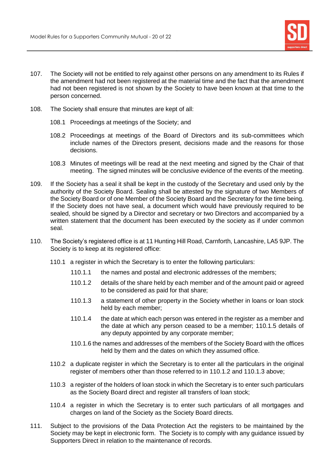

- 107. The Society will not be entitled to rely against other persons on any amendment to its Rules if the amendment had not been registered at the material time and the fact that the amendment had not been registered is not shown by the Society to have been known at that time to the person concerned.
- 108. The Society shall ensure that minutes are kept of all:
	- 108.1 Proceedings at meetings of the Society; and
	- 108.2 Proceedings at meetings of the Board of Directors and its sub-committees which include names of the Directors present, decisions made and the reasons for those decisions.
	- 108.3 Minutes of meetings will be read at the next meeting and signed by the Chair of that meeting. The signed minutes will be conclusive evidence of the events of the meeting.
- 109. If the Society has a seal it shall be kept in the custody of the Secretary and used only by the authority of the Society Board. Sealing shall be attested by the signature of two Members of the Society Board or of one Member of the Society Board and the Secretary for the time being. If the Society does not have seal, a document which would have previously required to be sealed, should be signed by a Director and secretary or two Directors and accompanied by a written statement that the document has been executed by the society as if under common seal.
- 110. The Society's registered office is at 11 Hunting Hill Road, Carnforth, Lancashire, LA5 9JP. The Society is to keep at its registered office:
	- 110.1 a register in which the Secretary is to enter the following particulars:
		- 110.1.1 the names and postal and electronic addresses of the members;
		- 110.1.2 details of the share held by each member and of the amount paid or agreed to be considered as paid for that share;
		- 110.1.3 a statement of other property in the Society whether in loans or loan stock held by each member;
		- 110.1.4 the date at which each person was entered in the register as a member and the date at which any person ceased to be a member; 110.1.5 details of any deputy appointed by any corporate member;
		- 110.1.6 the names and addresses of the members of the Society Board with the offices held by them and the dates on which they assumed office.
	- 110.2 a duplicate register in which the Secretary is to enter all the particulars in the original register of members other than those referred to in 110.1.2 and 110.1.3 above;
	- 110.3 a register of the holders of loan stock in which the Secretary is to enter such particulars as the Society Board direct and register all transfers of loan stock;
	- 110.4 a register in which the Secretary is to enter such particulars of all mortgages and charges on land of the Society as the Society Board directs.
- 111. Subject to the provisions of the Data Protection Act the registers to be maintained by the Society may be kept in electronic form. The Society is to comply with any guidance issued by Supporters Direct in relation to the maintenance of records.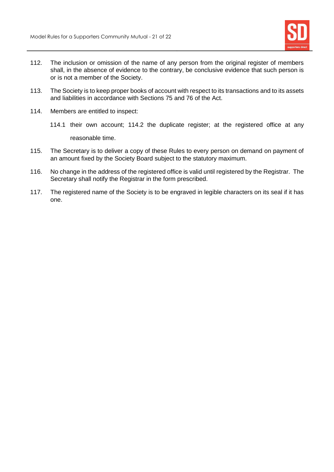

- 112. The inclusion or omission of the name of any person from the original register of members shall, in the absence of evidence to the contrary, be conclusive evidence that such person is or is not a member of the Society.
- 113. The Society is to keep proper books of account with respect to its transactions and to its assets and liabilities in accordance with Sections 75 and 76 of the Act.
- 114. Members are entitled to inspect:
	- 114.1 their own account; 114.2 the duplicate register; at the registered office at any reasonable time.
- 115. The Secretary is to deliver a copy of these Rules to every person on demand on payment of an amount fixed by the Society Board subject to the statutory maximum.
- 116. No change in the address of the registered office is valid until registered by the Registrar. The Secretary shall notify the Registrar in the form prescribed.
- 117. The registered name of the Society is to be engraved in legible characters on its seal if it has one.